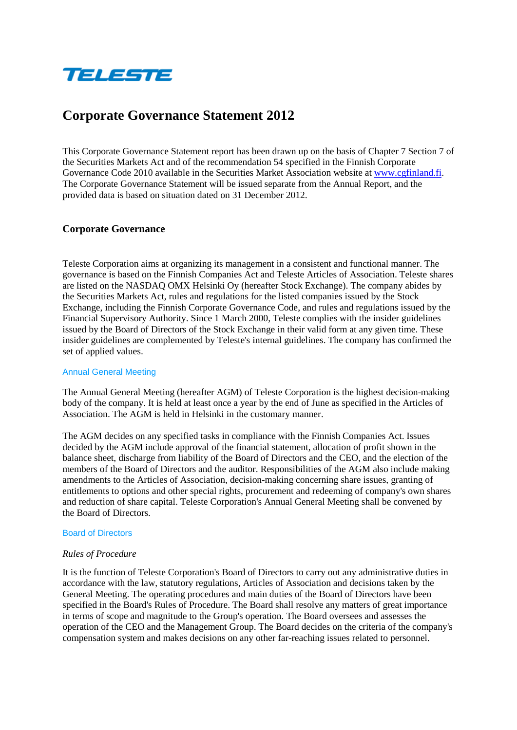

# **Corporate Governance Statement 2012**

This Corporate Governance Statement report has been drawn up on the basis of Chapter 7 Section 7 of the Securities Markets Act and of the recommendation 54 specified in the Finnish Corporate Governance Code 2010 available in the Securities Market Association website at [www.cgfinland.fi.](http://www.cgfinland.fi/) The Corporate Governance Statement will be issued separate from the Annual Report, and the provided data is based on situation dated on 31 December 2012.

# **Corporate Governance**

Teleste Corporation aims at organizing its management in a consistent and functional manner. The governance is based on the Finnish Companies Act and Teleste Articles of Association. Teleste shares are listed on the NASDAQ OMX Helsinki Oy (hereafter Stock Exchange). The company abides by the Securities Markets Act, rules and regulations for the listed companies issued by the Stock Exchange, including the Finnish Corporate Governance Code, and rules and regulations issued by the Financial Supervisory Authority. Since 1 March 2000, Teleste complies with the insider guidelines issued by the Board of Directors of the Stock Exchange in their valid form at any given time. These insider guidelines are complemented by Teleste's internal guidelines. The company has confirmed the set of applied values.

## Annual General Meeting

The Annual General Meeting (hereafter AGM) of Teleste Corporation is the highest decision-making body of the company. It is held at least once a year by the end of June as specified in the Articles of Association. The AGM is held in Helsinki in the customary manner.

The AGM decides on any specified tasks in compliance with the Finnish Companies Act. Issues decided by the AGM include approval of the financial statement, allocation of profit shown in the balance sheet, discharge from liability of the Board of Directors and the CEO, and the election of the members of the Board of Directors and the auditor. Responsibilities of the AGM also include making amendments to the Articles of Association, decision-making concerning share issues, granting of entitlements to options and other special rights, procurement and redeeming of company's own shares and reduction of share capital. Teleste Corporation's Annual General Meeting shall be convened by the Board of Directors.

## Board of Directors

## *Rules of Procedure*

It is the function of Teleste Corporation's Board of Directors to carry out any administrative duties in accordance with the law, statutory regulations, Articles of Association and decisions taken by the General Meeting. The operating procedures and main duties of the Board of Directors have been specified in the Board's Rules of Procedure. The Board shall resolve any matters of great importance in terms of scope and magnitude to the Group's operation. The Board oversees and assesses the operation of the CEO and the Management Group. The Board decides on the criteria of the company's compensation system and makes decisions on any other far-reaching issues related to personnel.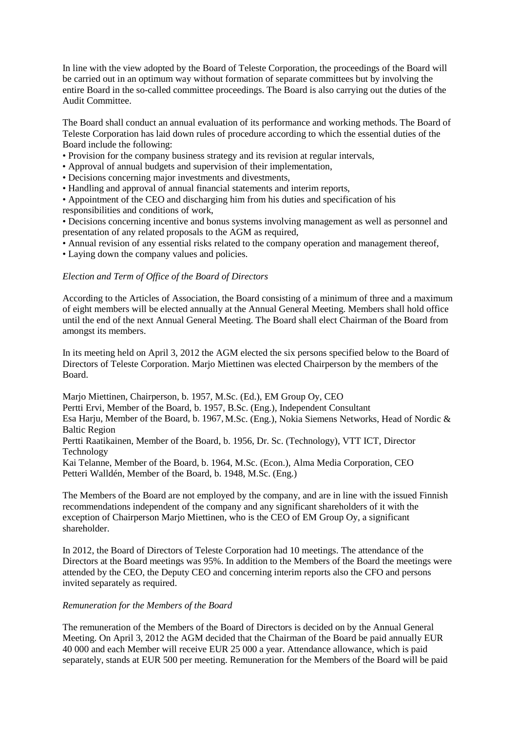In line with the view adopted by the Board of Teleste Corporation, the proceedings of the Board will be carried out in an optimum way without formation of separate committees but by involving the entire Board in the so-called committee proceedings. The Board is also carrying out the duties of the Audit Committee.

The Board shall conduct an annual evaluation of its performance and working methods. The Board of Teleste Corporation has laid down rules of procedure according to which the essential duties of the Board include the following:

- Provision for the company business strategy and its revision at regular intervals,
- Approval of annual budgets and supervision of their implementation,
- Decisions concerning major investments and divestments,
- Handling and approval of annual financial statements and interim reports,

• Appointment of the CEO and discharging him from his duties and specification of his responsibilities and conditions of work,

• Decisions concerning incentive and bonus systems involving management as well as personnel and presentation of any related proposals to the AGM as required,

• Annual revision of any essential risks related to the company operation and management thereof,

• Laying down the company values and policies.

# *Election and Term of Office of the Board of Directors*

According to the Articles of Association, the Board consisting of a minimum of three and a maximum of eight members will be elected annually at the Annual General Meeting. Members shall hold office until the end of the next Annual General Meeting. The Board shall elect Chairman of the Board from amongst its members.

In its meeting held on April 3, 2012 the AGM elected the six persons specified below to the Board of Directors of Teleste Corporation. Marjo Miettinen was elected Chairperson by the members of the Board.

Marjo Miettinen, Chairperson, b. 1957, M.Sc. (Ed.), EM Group Oy, CEO

Pertti Ervi, Member of the Board, b. 1957, B.Sc. (Eng.), Independent Consultant

Esa Harju, Member of the Board, b. 1967, M.Sc. (Eng.), Nokia Siemens Networks, Head of Nordic & Baltic Region

Pertti Raatikainen, Member of the Board, b. 1956, Dr. Sc. (Technology), VTT ICT, Director Technology

Kai Telanne, Member of the Board, b. 1964, M.Sc. (Econ.), Alma Media Corporation, CEO Petteri Walldén, Member of the Board, b. 1948, M.Sc. (Eng.)

The Members of the Board are not employed by the company, and are in line with the issued Finnish recommendations independent of the company and any significant shareholders of it with the exception of Chairperson Marjo Miettinen, who is the CEO of EM Group Oy, a significant shareholder.

In 2012, the Board of Directors of Teleste Corporation had 10 meetings. The attendance of the Directors at the Board meetings was 95%. In addition to the Members of the Board the meetings were attended by the CEO, the Deputy CEO and concerning interim reports also the CFO and persons invited separately as required.

## *Remuneration for the Members of the Board*

The remuneration of the Members of the Board of Directors is decided on by the Annual General Meeting. On April 3, 2012 the AGM decided that the Chairman of the Board be paid annually EUR 40 000 and each Member will receive EUR 25 000 a year. Attendance allowance, which is paid separately, stands at EUR 500 per meeting. Remuneration for the Members of the Board will be paid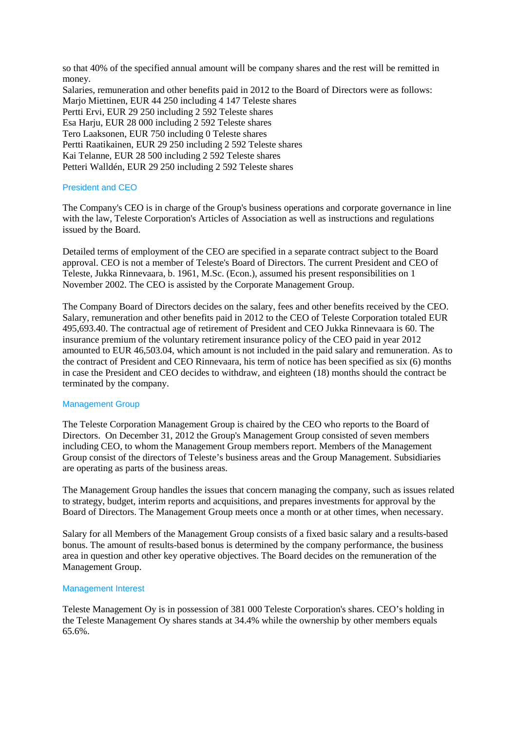so that 40% of the specified annual amount will be company shares and the rest will be remitted in money. Salaries, remuneration and other benefits paid in 2012 to the Board of Directors were as follows: Marjo Miettinen, EUR 44 250 including 4 147 Teleste shares Pertti Ervi, EUR 29 250 including 2 592 Teleste shares Esa Harju, EUR 28 000 including 2 592 Teleste shares Tero Laaksonen, EUR 750 including 0 Teleste shares Pertti Raatikainen, EUR 29 250 including 2 592 Teleste shares

Kai Telanne, EUR 28 500 including 2 592 Teleste shares

Petteri Walldén, EUR 29 250 including 2 592 Teleste shares

# President and CEO

The Company's CEO is in charge of the Group's business operations and corporate governance in line with the law, Teleste Corporation's Articles of Association as well as instructions and regulations issued by the Board.

Detailed terms of employment of the CEO are specified in a separate contract subject to the Board approval. CEO is not a member of Teleste's Board of Directors. The current President and CEO of Teleste, Jukka Rinnevaara, b. 1961, M.Sc. (Econ.), assumed his present responsibilities on 1 November 2002. The CEO is assisted by the Corporate Management Group.

The Company Board of Directors decides on the salary, fees and other benefits received by the CEO. Salary, remuneration and other benefits paid in 2012 to the CEO of Teleste Corporation totaled EUR 495,693.40. The contractual age of retirement of President and CEO Jukka Rinnevaara is 60. The insurance premium of the voluntary retirement insurance policy of the CEO paid in year 2012 amounted to EUR 46,503.04, which amount is not included in the paid salary and remuneration. As to the contract of President and CEO Rinnevaara, his term of notice has been specified as six (6) months in case the President and CEO decides to withdraw, and eighteen (18) months should the contract be terminated by the company.

# Management Group

The Teleste Corporation Management Group is chaired by the CEO who reports to the Board of Directors. On December 31, 2012 the Group's Management Group consisted of seven members including CEO, to whom the Management Group members report. Members of the Management Group consist of the directors of Teleste's business areas and the Group Management. Subsidiaries are operating as parts of the business areas.

The Management Group handles the issues that concern managing the company, such as issues related to strategy, budget, interim reports and acquisitions, and prepares investments for approval by the Board of Directors. The Management Group meets once a month or at other times, when necessary.

Salary for all Members of the Management Group consists of a fixed basic salary and a results-based bonus. The amount of results-based bonus is determined by the company performance, the business area in question and other key operative objectives. The Board decides on the remuneration of the Management Group.

# Management Interest

Teleste Management Oy is in possession of 381 000 Teleste Corporation's shares. CEO's holding in the Teleste Management Oy shares stands at 34.4% while the ownership by other members equals 65.6%.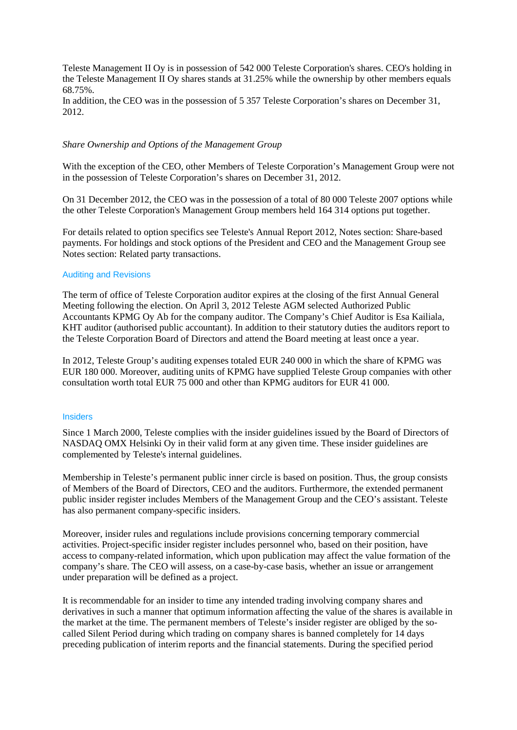Teleste Management II Oy is in possession of 542 000 Teleste Corporation's shares. CEO's holding in the Teleste Management II Oy shares stands at 31.25% while the ownership by other members equals 68.75%.

In addition, the CEO was in the possession of 5 357 Teleste Corporation's shares on December 31, 2012.

## *Share Ownership and Options of the Management Group*

With the exception of the CEO, other Members of Teleste Corporation's Management Group were not in the possession of Teleste Corporation's shares on December 31, 2012.

On 31 December 2012, the CEO was in the possession of a total of 80 000 Teleste 2007 options while the other Teleste Corporation's Management Group members held 164 314 options put together.

For details related to option specifics see Teleste's Annual Report 2012, Notes section: Share-based payments. For holdings and stock options of the President and CEO and the Management Group see Notes section: Related party transactions.

#### Auditing and Revisions

The term of office of Teleste Corporation auditor expires at the closing of the first Annual General Meeting following the election. On April 3, 2012 Teleste AGM selected Authorized Public Accountants KPMG Oy Ab for the company auditor. The Company's Chief Auditor is Esa Kailiala, KHT auditor (authorised public accountant). In addition to their statutory duties the auditors report to the Teleste Corporation Board of Directors and attend the Board meeting at least once a year.

In 2012, Teleste Group's auditing expenses totaled EUR 240 000 in which the share of KPMG was EUR 180 000. Moreover, auditing units of KPMG have supplied Teleste Group companies with other consultation worth total EUR 75 000 and other than KPMG auditors for EUR 41 000.

# **Insiders**

Since 1 March 2000, Teleste complies with the insider guidelines issued by the Board of Directors of NASDAQ OMX Helsinki Oy in their valid form at any given time. These insider guidelines are complemented by Teleste's internal guidelines.

Membership in Teleste's permanent public inner circle is based on position. Thus, the group consists of Members of the Board of Directors, CEO and the auditors. Furthermore, the extended permanent public insider register includes Members of the Management Group and the CEO's assistant. Teleste has also permanent company-specific insiders.

Moreover, insider rules and regulations include provisions concerning temporary commercial activities. Project-specific insider register includes personnel who, based on their position, have access to company-related information, which upon publication may affect the value formation of the company's share. The CEO will assess, on a case-by-case basis, whether an issue or arrangement under preparation will be defined as a project.

It is recommendable for an insider to time any intended trading involving company shares and derivatives in such a manner that optimum information affecting the value of the shares is available in the market at the time. The permanent members of Teleste's insider register are obliged by the socalled Silent Period during which trading on company shares is banned completely for 14 days preceding publication of interim reports and the financial statements. During the specified period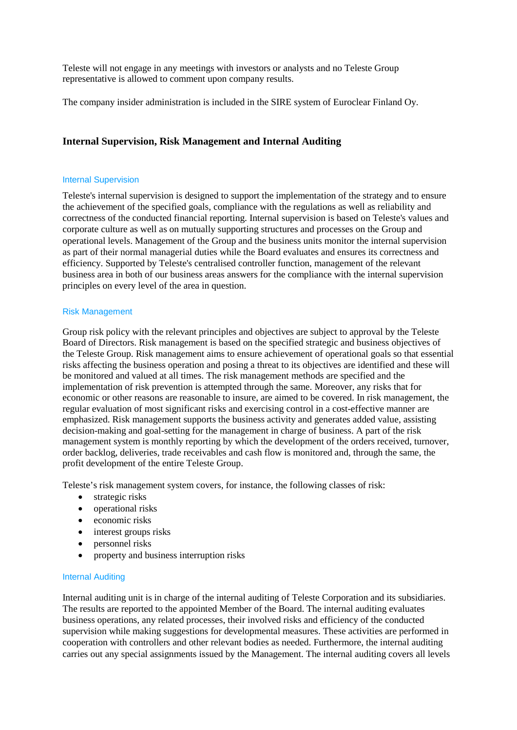Teleste will not engage in any meetings with investors or analysts and no Teleste Group representative is allowed to comment upon company results.

The company insider administration is included in the SIRE system of Euroclear Finland Oy.

# **Internal Supervision, Risk Management and Internal Auditing**

## Internal Supervision

Teleste's internal supervision is designed to support the implementation of the strategy and to ensure the achievement of the specified goals, compliance with the regulations as well as reliability and correctness of the conducted financial reporting. Internal supervision is based on Teleste's values and corporate culture as well as on mutually supporting structures and processes on the Group and operational levels. Management of the Group and the business units monitor the internal supervision as part of their normal managerial duties while the Board evaluates and ensures its correctness and efficiency. Supported by Teleste's centralised controller function, management of the relevant business area in both of our business areas answers for the compliance with the internal supervision principles on every level of the area in question.

# Risk Management

Group risk policy with the relevant principles and objectives are subject to approval by the Teleste Board of Directors. Risk management is based on the specified strategic and business objectives of the Teleste Group. Risk management aims to ensure achievement of operational goals so that essential risks affecting the business operation and posing a threat to its objectives are identified and these will be monitored and valued at all times. The risk management methods are specified and the implementation of risk prevention is attempted through the same. Moreover, any risks that for economic or other reasons are reasonable to insure, are aimed to be covered. In risk management, the regular evaluation of most significant risks and exercising control in a cost-effective manner are emphasized. Risk management supports the business activity and generates added value, assisting decision-making and goal-setting for the management in charge of business. A part of the risk management system is monthly reporting by which the development of the orders received, turnover, order backlog, deliveries, trade receivables and cash flow is monitored and, through the same, the profit development of the entire Teleste Group.

Teleste's risk management system covers, for instance, the following classes of risk:

- strategic risks
- operational risks
- economic risks
- interest groups risks
- personnel risks
- property and business interruption risks

## Internal Auditing

Internal auditing unit is in charge of the internal auditing of Teleste Corporation and its subsidiaries. The results are reported to the appointed Member of the Board. The internal auditing evaluates business operations, any related processes, their involved risks and efficiency of the conducted supervision while making suggestions for developmental measures. These activities are performed in cooperation with controllers and other relevant bodies as needed. Furthermore, the internal auditing carries out any special assignments issued by the Management. The internal auditing covers all levels